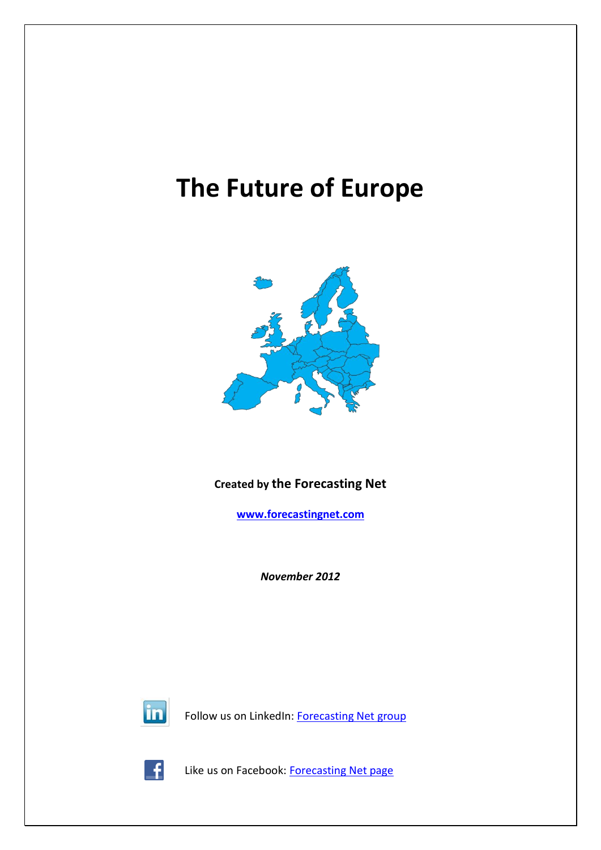# **The Future of Europe**



## **Created by the Forecasting Net**

**[www.forecastingnet.com](http://www.forecastingnet.com/)**

*November 2012*



Follow us on LinkedIn: [Forecasting Net group](http://www.linkedin.com/groups/Forecasting-Net-3864371?mostPopular=&gid=3864371)



Like us on Facebook: [Forecasting Net page](http://www.facebook.com/pages/Forecasting-Net/186575418052771#!/pages/Forecasting-Net/186575418052771?sk=wall)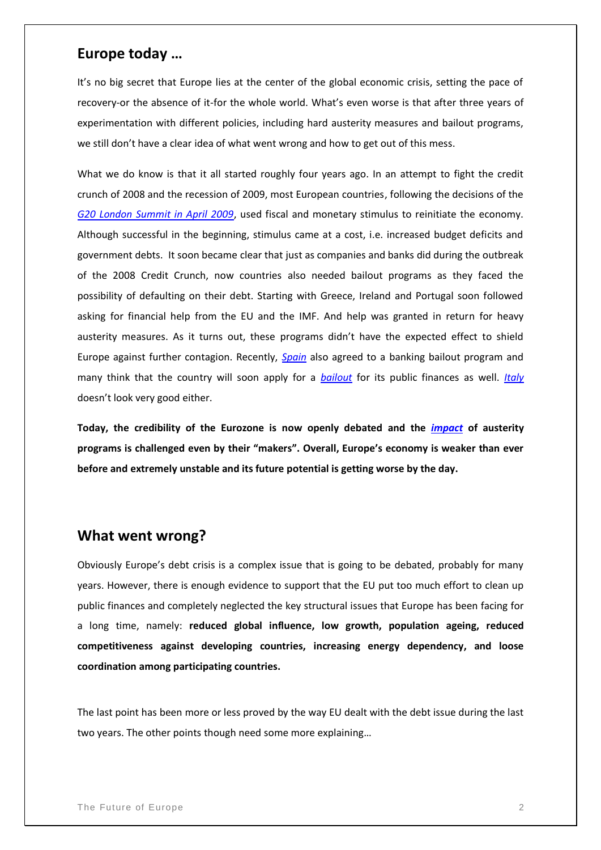#### **Europe today …**

It's no big secret that Europe lies at the center of the global economic crisis, setting the pace of recovery-or the absence of it-for the whole world. What's even worse is that after three years of experimentation with different policies, including hard austerity measures and bailout programs, we still don't have a clear idea of what went wrong and how to get out of this mess.

What we do know is that it all started roughly four years ago. In an attempt to fight the credit crunch of 2008 and the recession of 2009, most European countries, following the decisions of the *[G20 London Summit in April 2009](http://www.g20.utoronto.ca/2009/2009communique0402.html)*, used fiscal and monetary stimulus to reinitiate the economy. Although successful in the beginning, stimulus came at a cost, i.e. increased budget deficits and government debts. It soon became clear that just as companies and banks did during the outbreak of the 2008 Credit Crunch, now countries also needed bailout programs as they faced the possibility of defaulting on their debt. Starting with Greece, Ireland and Portugal soon followed asking for financial help from the EU and the IMF. And help was granted in return for heavy austerity measures. As it turns out, these programs didn't have the expected effect to shield Europe against further contagion. Recently, *[Spain](http://www.huffingtonpost.com/2012/07/09/wrapup-1-eu-gives-spain-m_n_1660714.html)* also agreed to a banking bailout program and many think that the country will soon apply for a *[bailout](http://www.reuters.com/article/2012/10/01/us-spain-bailout-idUSBRE8901AB20121001)* for its public finances as well. *[Italy](http://www.industryleadersmagazine.com/italy-now-rated-at-baa2-%E2%80%93-downgraded-two-notches-by-moody%E2%80%99s/)* doesn't look very good either.

**Today, the credibility of the Eurozone is now openly debated and the** *[impact](http://www.bbc.co.uk/news/world-19908649)* **of austerity programs is challenged even by their "makers". Overall, Europe's economy is weaker than ever before and extremely unstable and its future potential is getting worse by the day.**

#### **What went wrong?**

Obviously Europe's debt crisis is a complex issue that is going to be debated, probably for many years. However, there is enough evidence to support that the EU put too much effort to clean up public finances and completely neglected the key structural issues that Europe has been facing for a long time, namely: **reduced global influence, low growth, population ageing, reduced competitiveness against developing countries, increasing energy dependency, and loose coordination among participating countries.**

The last point has been more or less proved by the way EU dealt with the debt issue during the last two years. The other points though need some more explaining…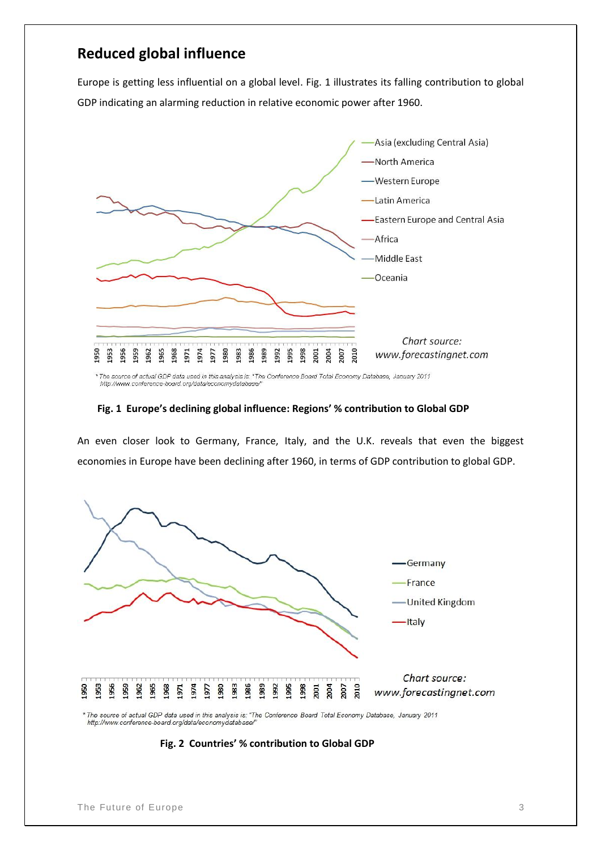## **Reduced global influence**

Europe is getting less influential on a global level. Fig. 1 illustrates its falling contribution to global GDP indicating an alarming reduction in relative economic power after 1960.



\* The source of actual GDP data used in this analysis is: "The Conference Board Total Economy Database, January 2011<br>http://www.conference-board.org/data/economydatabase/"

#### **Fig. 1 Europe's declining global influence: Regions' % contribution to Global GDP**

An even closer look to Germany, France, Italy, and the U.K. reveals that even the biggest economies in Europe have been declining after 1960, in terms of GDP contribution to global GDP.



http://www.conference-board.org/data/economydatabase/

 **Fig. 2 Countries' % contribution to Global GDP**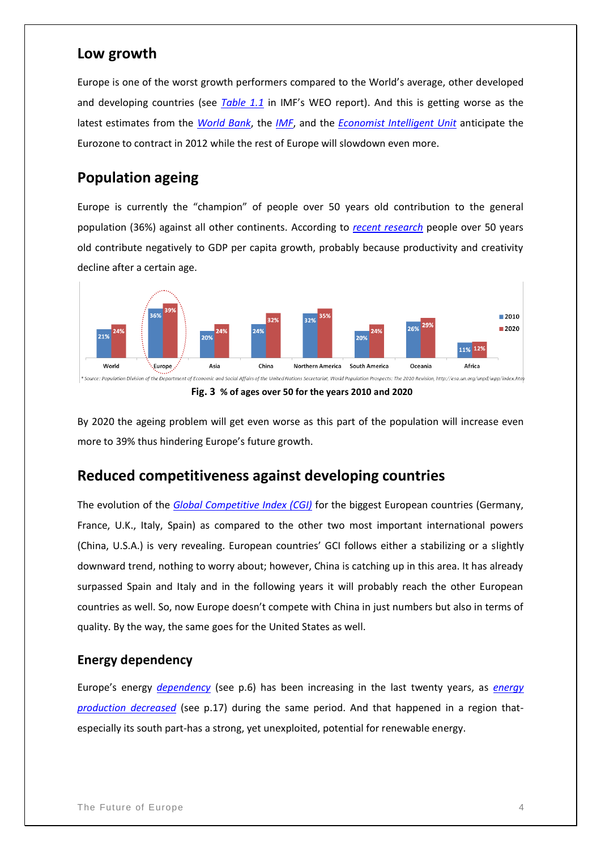#### **Low growth**

Europe is one of the worst growth performers compared to the World's average, other developed and developing countries (see *[Table 1.1](http://www.imf.org/external/pubs/ft/weo/2012/02/pdf/text.pdf)* in IMF's WEO report). And this is getting worse as the latest estimates from the *[World Bank](http://siteresources.worldbank.org/INTPROSPECTS/Resources/334934-1322593305595/8287139-1339427993716/GEPJune2012_Full_Report.pdf)*, the *[IMF](http://www.imf.org/external/pubs/ft/weo/2012/02/pdf/text.pdf)*, and the *[Economist Intelligent Unit](http://pages.eiu.com/rs/eiu2/images/June%25202012%2520Forecast.pdf)* anticipate the Eurozone to contract in 2012 while the rest of Europe will slowdown even more.

## **Population ageing**

Europe is currently the "champion" of people over 50 years old contribution to the general population (36%) against all other continents. According to *[recent research](http://www.researchaffiliates.com/Our%20Ideas/Insights/Papers/Documents/FAJ_Jan_Feb_2012_Demographic_Changes_Financial_Markets_and_the_Economy.pdf)* people over 50 years old contribute negatively to GDP per capita growth, probably because productivity and creativity decline after a certain age.



.<br>I Social Affairs of the United Nations Secretariat, World Population Prospects: The 2010 Revision, http://esa.un.org/unpd/wpp/index.htm \* Source: Population Division of the De



By 2020 the ageing problem will get even worse as this part of the population will increase even more to 39% thus hindering Europe's future growth.

#### **Reduced competitiveness against developing countries**

The evolution of the *[Global Competitive Index \(CGI\)](http://www.google.com/publicdata/explore?ds=z6409butolt8la_&ctype=l&strail=false&bcs=d&nselm=h&met_y=gci&scale_y=lin&ind_y=false&rdim=country&idim=country:CHN:DEU:FRA:GBR:USA:ESP:ITA&ifdim=country&tstart=1121461200000&tend=1310763600000&hl=en&dl=en&ind=fal)* for the biggest European countries (Germany, France, U.K., Italy, Spain) as compared to the other two most important international powers (China, U.S.A.) is very revealing. European countries' GCI follows either a stabilizing or a slightly downward trend, nothing to worry about; however, China is catching up in this area. It has already surpassed Spain and Italy and in the following years it will probably reach the other European countries as well. So, now Europe doesn't compete with China in just numbers but also in terms of quality. By the way, the same goes for the United States as well.

#### **Energy dependency**

Europe's energy *[dependency](http://ec.europa.eu/energy/observatory/countries/doc/key_figures.pdf)* (see p.6) has been increasing in the last twenty years, as *[energy](http://ec.europa.eu/energy/observatory/countries/doc/key_figures.pdf)  [production decreased](http://ec.europa.eu/energy/observatory/countries/doc/key_figures.pdf)* (see p.17) during the same period. And that happened in a region thatespecially its south part-has a strong, yet unexploited, potential for renewable energy.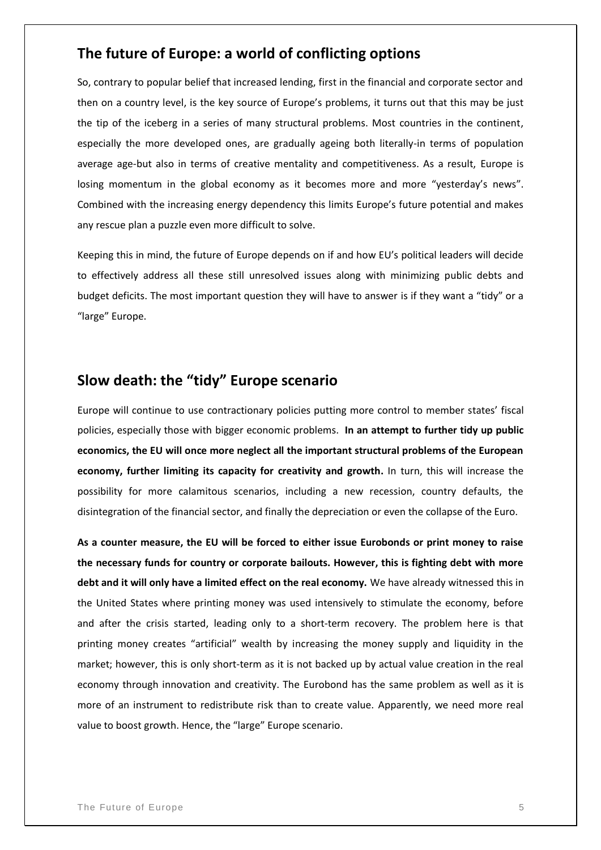### **The future of Europe: a world of conflicting options**

So, contrary to popular belief that increased lending, first in the financial and corporate sector and then on a country level, is the key source of Europe's problems, it turns out that this may be just the tip of the iceberg in a series of many structural problems. Most countries in the continent, especially the more developed ones, are gradually ageing both literally-in terms of population average age-but also in terms of creative mentality and competitiveness. As a result, Europe is losing momentum in the global economy as it becomes more and more "yesterday's news". Combined with the increasing energy dependency this limits Europe's future potential and makes any rescue plan a puzzle even more difficult to solve.

Keeping this in mind, the future of Europe depends on if and how EU's political leaders will decide to effectively address all these still unresolved issues along with minimizing public debts and budget deficits. The most important question they will have to answer is if they want a "tidy" or a "large" Europe.

#### **Slow death: the "tidy" Europe scenario**

Europe will continue to use contractionary policies putting more control to member states' fiscal policies, especially those with bigger economic problems. **In an attempt to further tidy up public economics, the EU will once more neglect all the important structural problems of the European economy, further limiting its capacity for creativity and growth.** In turn, this will increase the possibility for more calamitous scenarios, including a new recession, country defaults, the disintegration of the financial sector, and finally the depreciation or even the collapse of the Euro.

**As a counter measure, the EU will be forced to either issue Eurobonds or print money to raise the necessary funds for country or corporate bailouts. However, this is fighting debt with more debt and it will only have a limited effect on the real economy.** We have already witnessed this in the United States where printing money was used intensively to stimulate the economy, before and after the crisis started, leading only to a short-term recovery. The problem here is that printing money creates "artificial" wealth by increasing the money supply and liquidity in the market; however, this is only short-term as it is not backed up by actual value creation in the real economy through innovation and creativity. The Eurobond has the same problem as well as it is more of an instrument to redistribute risk than to create value. Apparently, we need more real value to boost growth. Hence, the "large" Europe scenario.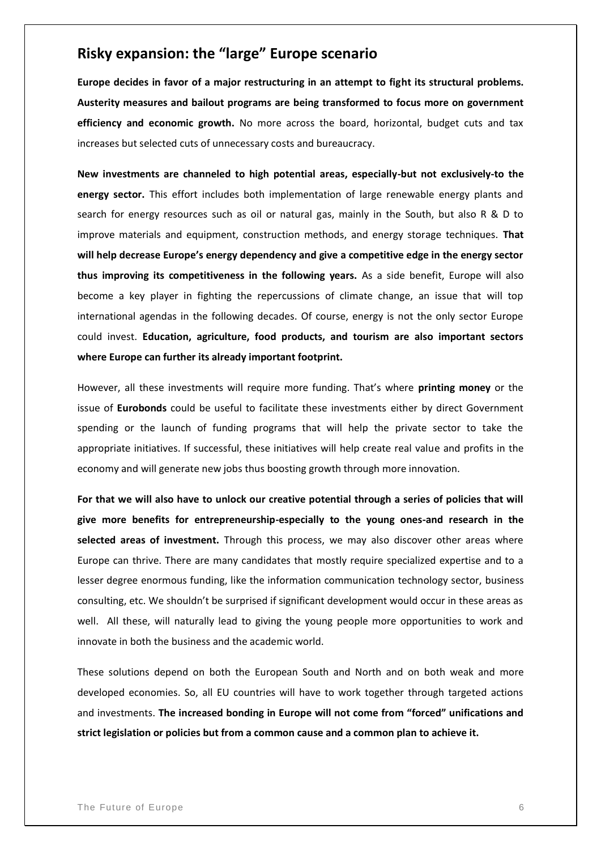# **Risky expansion: the "large" Europe scenario**

**Europe decides in favor of a major restructuring in an attempt to fight its structural problems. Austerity measures and bailout programs are being transformed to focus more on government efficiency and economic growth.** No more across the board, horizontal, budget cuts and tax increases but selected cuts of unnecessary costs and bureaucracy.

**New investments are channeled to high potential areas, especially-but not exclusively-to the energy sector.** This effort includes both implementation of large renewable energy plants and search for energy resources such as oil or natural gas, mainly in the South, but also R & D to improve materials and equipment, construction methods, and energy storage techniques. **That will help decrease Europe's energy dependency and give a competitive edge in the energy sector thus improving its competitiveness in the following years.** As a side benefit, Europe will also become a key player in fighting the repercussions of climate change, an issue that will top international agendas in the following decades. Of course, energy is not the only sector Europe could invest. **Education, agriculture, food products, and tourism are also important sectors where Europe can further its already important footprint.** 

However, all these investments will require more funding. That's where **printing money** or the issue of **Eurobonds** could be useful to facilitate these investments either by direct Government spending or the launch of funding programs that will help the private sector to take the appropriate initiatives. If successful, these initiatives will help create real value and profits in the economy and will generate new jobs thus boosting growth through more innovation.

**For that we will also have to unlock our creative potential through a series of policies that will give more benefits for entrepreneurship-especially to the young ones-and research in the selected areas of investment.** Through this process, we may also discover other areas where Europe can thrive. There are many candidates that mostly require specialized expertise and to a lesser degree enormous funding, like the information communication technology sector, business consulting, etc. We shouldn't be surprised if significant development would occur in these areas as well. All these, will naturally lead to giving the young people more opportunities to work and innovate in both the business and the academic world.

These solutions depend on both the European South and North and on both weak and more developed economies. So, all EU countries will have to work together through targeted actions and investments. **The increased bonding in Europe will not come from "forced" unifications and strict legislation or policies but from a common cause and a common plan to achieve it.**